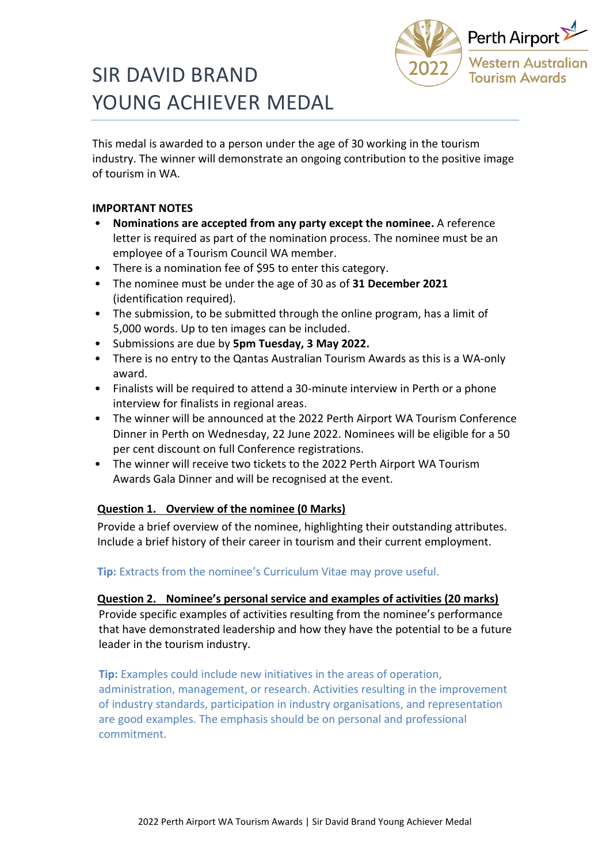

# SIR DAVID BRAND YOUNG ACHIEVER MEDAL

This medal is awarded to a person under the age of 30 working in the tourism industry. The winner will demonstrate an ongoing contribution to the positive image of tourism in WA.

## **IMPORTANT NOTES**

- **Nominations are accepted from any party except the nominee.** A reference letter is required as part of the nomination process. The nominee must be an employee of a Tourism Council WA member.
- There is a nomination fee of \$95 to enter this category.
- The nominee must be under the age of 30 as of **31 December 2021** (identification required).
- The submission, to be submitted through the online program, has a limit of 5,000 words. Up to ten images can be included.
- Submissions are due by **5pm Tuesday, 3 May 2022.**
- There is no entry to the Qantas Australian Tourism Awards as this is a WA-only award.
- Finalists will be required to attend a 30-minute interview in Perth or a phone interview for finalists in regional areas.
- The winner will be announced at the 2022 Perth Airport WA Tourism Conference Dinner in Perth on Wednesday, 22 June 2022. Nominees will be eligible for a 50 per cent discount on full Conference registrations.
- The winner will receive two tickets to the 2022 Perth Airport WA Tourism Awards Gala Dinner and will be recognised at the event.

# **Question 1. Overview of the nominee (0 Marks)**

Provide a brief overview of the nominee, highlighting their outstanding attributes. Include a brief history of their career in tourism and their current employment.

# **Tip:** Extracts from the nominee's Curriculum Vitae may prove useful.

### **Question 2. Nominee's personal service and examples of activities (20 marks)**

Provide specific examples of activities resulting from the nominee's performance that have demonstrated leadership and how they have the potential to be a future leader in the tourism industry.

**Tip:** Examples could include new initiatives in the areas of operation, administration, management, or research. Activities resulting in the improvement of industry standards, participation in industry organisations, and representation are good examples. The emphasis should be on personal and professional commitment.